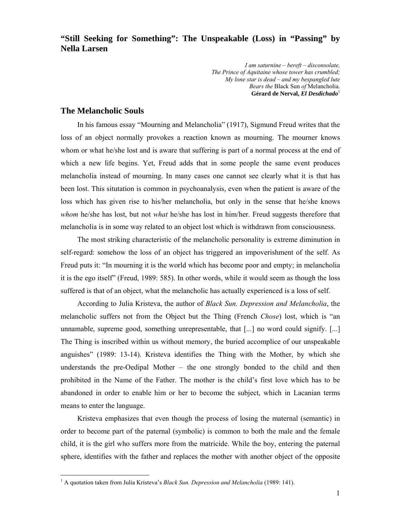**"Still Seeking for Something": The Unspeakable (Loss) in "Passing" by Nella Larsen** 

> *I am saturnine – bereft – disconsolate, The Prince of Aquitaine whose tower has crumbled; My lone star is dead – and my bespangled lute Bears the* Black Sun *of* Melancholia. **Gérard de Nerval,** *El Desdichado*<sup>1</sup>

#### **The Melancholic Souls**

 $\overline{a}$ 

In his famous essay "Mourning and Melancholia" (1917), Sigmund Freud writes that the loss of an object normally provokes a reaction known as mourning. The mourner knows whom or what he/she lost and is aware that suffering is part of a normal process at the end of which a new life begins. Yet, Freud adds that in some people the same event produces melancholia instead of mourning. In many cases one cannot see clearly what it is that has been lost. This situtation is common in psychoanalysis, even when the patient is aware of the loss which has given rise to his/her melancholia, but only in the sense that he/she knows *whom* he/she has lost, but not *what* he/she has lost in him/her. Freud suggests therefore that melancholia is in some way related to an object lost which is withdrawn from consciousness.

The most striking characteristic of the melancholic personality is extreme diminution in self-regard: somehow the loss of an object has triggered an impoverishment of the self. As Freud puts it: "In mourning it is the world which has become poor and empty; in melancholia it is the ego itself" (Freud, 1989: 585). In other words, while it would seem as though the loss suffered is that of an object, what the melancholic has actually experienced is a loss of self.

According to Julia Kristeva, the author of *Black Sun. Depression and Melancholia*, the melancholic suffers not from the Object but the Thing (French *Chose*) lost, which is "an unnamable, supreme good, something unrepresentable, that [...] no word could signify. [...] The Thing is inscribed within us without memory, the buried accomplice of our unspeakable anguishes" (1989: 13-14). Kristeva identifies the Thing with the Mother, by which she understands the pre-Oedipal Mother – the one strongly bonded to the child and then prohibited in the Name of the Father. The mother is the child's first love which has to be abandoned in order to enable him or her to become the subject, which in Lacanian terms means to enter the language.

Kristeva emphasizes that even though the process of losing the maternal (semantic) in order to become part of the paternal (symbolic) is common to both the male and the female child, it is the girl who suffers more from the matricide. While the boy, entering the paternal sphere, identifies with the father and replaces the mother with another object of the opposite

<sup>&</sup>lt;sup>1</sup> A quotation taken from Julia Kristeva's *Black Sun. Depression and Melancholia* (1989: 141).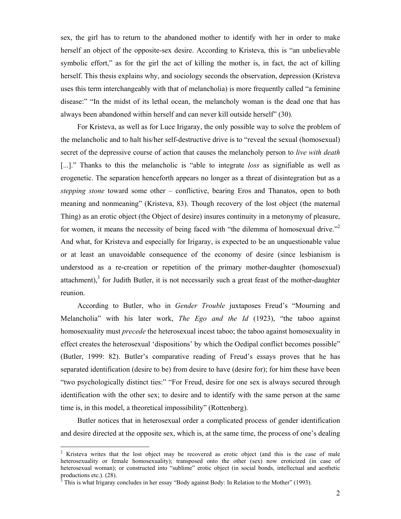sex, the girl has to return to the abandoned mother to identify with her in order to make herself an object of the opposite-sex desire. According to Kristeva, this is "an unbelievable symbolic effort," as for the girl the act of killing the mother is, in fact, the act of killing herself. This thesis explains why, and sociology seconds the observation, depression (Kristeva uses this term interchangeably with that of melancholia) is more frequently called "a feminine disease:" "In the midst of its lethal ocean, the melancholy woman is the dead one that has always been abandoned within herself and can never kill outside herself" (30).

For Kristeva, as well as for Luce Irigaray, the only possible way to solve the problem of the melancholic and to halt his/her self-destructive drive is to "reveal the sexual (homosexual) secret of the depressive course of action that causes the melancholy person to *live with death* [...]." Thanks to this the melancholic is "able to integrate *loss* as signifiable as well as erogenetic. The separation henceforth appears no longer as a threat of disintegration but as a *stepping stone* toward some other – conflictive, bearing Eros and Thanatos, open to both meaning and nonmeaning" (Kristeva, 83). Though recovery of the lost object (the maternal Thing) as an erotic object (the Object of desire) insures continuity in a metonymy of pleasure, for women, it means the necessity of being faced with "the dilemma of homosexual drive."<sup>2</sup> And what, for Kristeva and especially for Irigaray, is expected to be an unquestionable value or at least an unavoidable consequence of the economy of desire (since lesbianism is understood as a re-creation or repetition of the primary mother-daughter (homosexual) attachment), $3$  for Judith Butler, it is not necessarily such a great feast of the mother-daughter reunion.

According to Butler, who in *Gender Trouble* juxtaposes Freud's "Mourning and Melancholia" with his later work, *The Ego and the Id* (1923), "the taboo against homosexuality must *precede* the heterosexual incest taboo; the taboo against homosexuality in effect creates the heterosexual 'dispositions' by which the Oedipal conflict becomes possible" (Butler, 1999: 82). Butler's comparative reading of Freud's essays proves that he has separated identification (desire to be) from desire to have (desire for); for him these have been "two psychologically distinct ties:" "For Freud, desire for one sex is always secured through identification with the other sex; to desire and to identify with the same person at the same time is, in this model, a theoretical impossibility" (Rottenberg).

Butler notices that in heterosexual order a complicated process of gender identification and desire directed at the opposite sex, which is, at the same time, the process of one's dealing

<sup>&</sup>lt;sup>2</sup> Kristeva writes that the lost object may be recovered as erotic object (and this is the case of male heterosexuality or female homosexuality); transposed onto the other (sex) now eroticized (in case of heterosexual woman); or constructed into "sublime" erotic object (in social bonds, intellectual and aesthetic productions etc.). (28).

 $3$  This is what Irigaray concludes in her essay "Body against Body: In Relation to the Mother" (1993).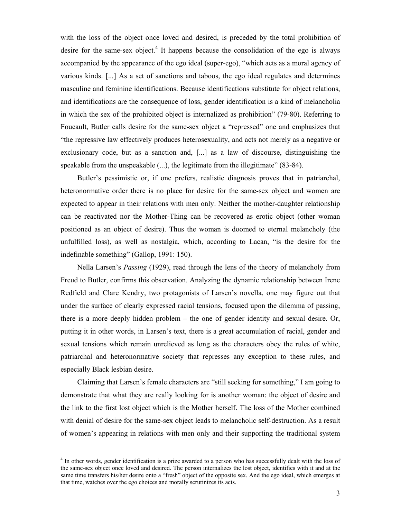with the loss of the object once loved and desired, is preceded by the total prohibition of desire for the same-sex object.<sup>4</sup> It happens because the consolidation of the ego is always accompanied by the appearance of the ego ideal (super-ego), "which acts as a moral agency of various kinds. [...] As a set of sanctions and taboos, the ego ideal regulates and determines masculine and feminine identifications. Because identifications substitute for object relations, and identifications are the consequence of loss, gender identification is a kind of melancholia in which the sex of the prohibited object is internalized as prohibition" (79-80). Referring to Foucault, Butler calls desire for the same-sex object a "repressed" one and emphasizes that "the repressive law effectively produces heterosexuality, and acts not merely as a negative or exclusionary code, but as a sanction and, [...] as a law of discourse, distinguishing the speakable from the unspeakable (...), the legitimate from the illegitimate" (83-84).

Butler's pessimistic or, if one prefers, realistic diagnosis proves that in patriarchal, heteronormative order there is no place for desire for the same-sex object and women are expected to appear in their relations with men only. Neither the mother-daughter relationship can be reactivated nor the Mother-Thing can be recovered as erotic object (other woman positioned as an object of desire). Thus the woman is doomed to eternal melancholy (the unfulfilled loss), as well as nostalgia, which, according to Lacan, "is the desire for the indefinable something" (Gallop, 1991: 150).

Nella Larsen's *Passing* (1929), read through the lens of the theory of melancholy from Freud to Butler, confirms this observation. Analyzing the dynamic relationship between Irene Redfield and Clare Kendry, two protagonists of Larsen's novella, one may figure out that under the surface of clearly expressed racial tensions, focused upon the dilemma of passing, there is a more deeply hidden problem – the one of gender identity and sexual desire. Or, putting it in other words, in Larsen's text, there is a great accumulation of racial, gender and sexual tensions which remain unrelieved as long as the characters obey the rules of white, patriarchal and heteronormative society that represses any exception to these rules, and especially Black lesbian desire.

Claiming that Larsen's female characters are "still seeking for something," I am going to demonstrate that what they are really looking for is another woman: the object of desire and the link to the first lost object which is the Mother herself. The loss of the Mother combined with denial of desire for the same-sex object leads to melancholic self-destruction. As a result of women's appearing in relations with men only and their supporting the traditional system

l

<sup>&</sup>lt;sup>4</sup> In other words, gender identification is a prize awarded to a person who has successfully dealt with the loss of the same-sex object once loved and desired. The person internalizes the lost object, identifies with it and at the same time transfers his/her desire onto a "fresh" object of the opposite sex. And the ego ideal, which emerges at that time, watches over the ego choices and morally scrutinizes its acts.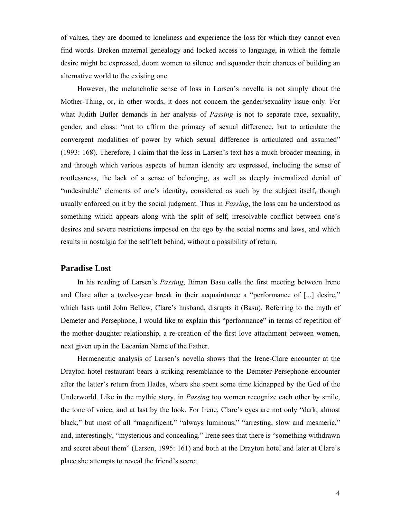of values, they are doomed to loneliness and experience the loss for which they cannot even find words. Broken maternal genealogy and locked access to language, in which the female desire might be expressed, doom women to silence and squander their chances of building an alternative world to the existing one.

However, the melancholic sense of loss in Larsen's novella is not simply about the Mother-Thing, or, in other words, it does not concern the gender/sexuality issue only. For what Judith Butler demands in her analysis of *Passing* is not to separate race, sexuality, gender, and class: "not to affirm the primacy of sexual difference, but to articulate the convergent modalities of power by which sexual difference is articulated and assumed" (1993: 168). Therefore, I claim that the loss in Larsen's text has a much broader meaning, in and through which various aspects of human identity are expressed, including the sense of rootlessness, the lack of a sense of belonging, as well as deeply internalized denial of "undesirable" elements of one's identity, considered as such by the subject itself, though usually enforced on it by the social judgment. Thus in *Passing*, the loss can be understood as something which appears along with the split of self, irresolvable conflict between one's desires and severe restrictions imposed on the ego by the social norms and laws, and which results in nostalgia for the self left behind, without a possibility of return.

### **Paradise Lost**

In his reading of Larsen's *Passing*, Biman Basu calls the first meeting between Irene and Clare after a twelve-year break in their acquaintance a "performance of [...] desire," which lasts until John Bellew, Clare's husband, disrupts it (Basu). Referring to the myth of Demeter and Persephone, I would like to explain this "performance" in terms of repetition of the mother-daughter relationship, a re-creation of the first love attachment between women, next given up in the Lacanian Name of the Father.

Hermeneutic analysis of Larsen's novella shows that the Irene-Clare encounter at the Drayton hotel restaurant bears a striking resemblance to the Demeter-Persephone encounter after the latter's return from Hades, where she spent some time kidnapped by the God of the Underworld. Like in the mythic story, in *Passing* too women recognize each other by smile, the tone of voice, and at last by the look. For Irene, Clare's eyes are not only "dark, almost black," but most of all "magnificent," "always luminous," "arresting, slow and mesmeric," and, interestingly, "mysterious and concealing." Irene sees that there is "something withdrawn and secret about them" (Larsen, 1995: 161) and both at the Drayton hotel and later at Clare's place she attempts to reveal the friend's secret.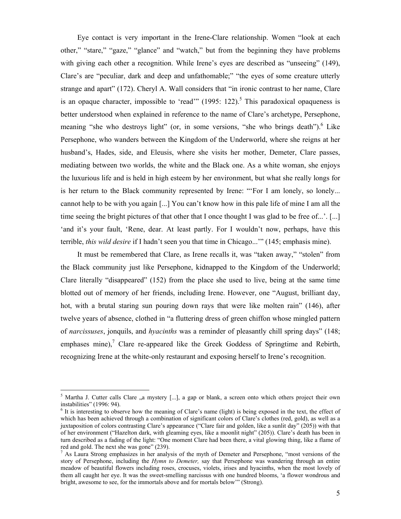Eye contact is very important in the Irene-Clare relationship. Women "look at each other," "stare," "gaze," "glance" and "watch," but from the beginning they have problems with giving each other a recognition. While Irene's eyes are described as "unseeing" (149), Clare's are "peculiar, dark and deep and unfathomable;" "the eyes of some creature utterly strange and apart" (172). Cheryl A. Wall considers that "in ironic contrast to her name, Clare is an opaque character, impossible to 'read'"  $(1995: 122)$ <sup>5</sup>. This paradoxical opaqueness is better understood when explained in reference to the name of Clare's archetype, Persephone, meaning "she who destroys light" (or, in some versions, "she who brings death"). <sup>6</sup> Like Persephone, who wanders between the Kingdom of the Underworld, where she reigns at her husband's, Hades, side, and Eleusis, where she visits her mother, Demeter, Clare passes, mediating between two worlds, the white and the Black one. As a white woman, she enjoys the luxurious life and is held in high esteem by her environment, but what she really longs for is her return to the Black community represented by Irene: "'For I am lonely, so lonely... cannot help to be with you again [...] You can't know how in this pale life of mine I am all the time seeing the bright pictures of that other that I once thought I was glad to be free of...'. [...] 'and it's your fault, 'Rene, dear. At least partly. For I wouldn't now, perhaps, have this terrible, *this wild desire* if I hadn't seen you that time in Chicago...'" (145; emphasis mine).

It must be remembered that Clare, as Irene recalls it, was "taken away," "stolen" from the Black community just like Persephone, kidnapped to the Kingdom of the Underworld; Clare literally "disappeared" (152) from the place she used to live, being at the same time blotted out of memory of her friends, including Irene. However, one "August, brilliant day, hot, with a brutal staring sun pouring down rays that were like molten rain" (146), after twelve years of absence, clothed in "a fluttering dress of green chiffon whose mingled pattern of *narcissuses*, jonquils, and *hyacinths* was a reminder of pleasantly chill spring days" (148; emphases mine), $7$  Clare re-appeared like the Greek Goddess of Springtime and Rebirth, recognizing Irene at the white-only restaurant and exposing herself to Irene's recognition.

<sup>&</sup>lt;sup>5</sup> Martha J. Cutter calls Clare "a mystery [...], a gap or blank, a screen onto which others project their own instabilities" (1996: 94).

<sup>&</sup>lt;sup>6</sup> It is interesting to observe how the meaning of Clare's name (light) is being exposed in the text, the effect of which has been achieved through a combination of significant colors of Clare's clothes (red, gold), as well as a juxtaposition of colors contrasting Clare's appearance ("Clare fair and golden, like a sunlit day" (205)) with that of her environment ("Hazelton dark, with gleaming eyes, like a moonlit night" (205)). Clare's death has been in turn described as a fading of the light: "One moment Clare had been there, a vital glowing thing, like a flame of red and gold. The next she was gone" (239).

<sup>&</sup>lt;sup>7</sup> As Laura Strong emphasizes in her analysis of the myth of Demeter and Persephone, "most versions of the story of Persephone, including the *Hymn to Demeter,* say that Persephone was wandering through an entire meadow of beautiful flowers including roses, crocuses, violets, irises and hyacinths, when the most lovely of them all caught her eye. It was the sweet-smelling narcissus with one hundred blooms, 'a flower wondrous and bright, awesome to see, for the immortals above and for mortals below'" (Strong).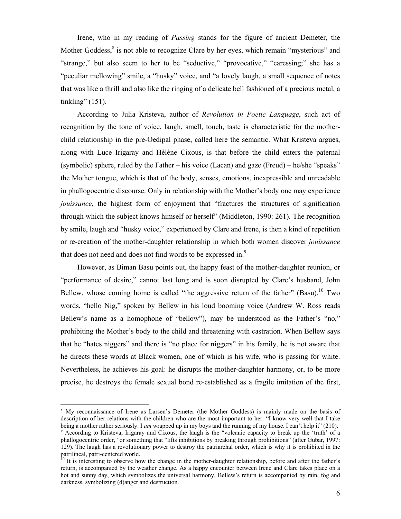Irene, who in my reading of *Passing* stands for the figure of ancient Demeter, the Mother Goddess, $<sup>8</sup>$  is not able to recognize Clare by her eyes, which remain "mysterious" and</sup> "strange," but also seem to her to be "seductive," "provocative," "caressing;" she has a "peculiar mellowing" smile, a "husky" voice, and "a lovely laugh, a small sequence of notes that was like a thrill and also like the ringing of a delicate bell fashioned of a precious metal, a tinkling" (151).

According to Julia Kristeva, author of *Revolution in Poetic Language*, such act of recognition by the tone of voice, laugh, smell, touch, taste is characteristic for the motherchild relationship in the pre-Oedipal phase, called here the semantic. What Kristeva argues, along with Luce Irigaray and Hélène Cixous, is that before the child enters the paternal (symbolic) sphere, ruled by the Father – his voice (Lacan) and gaze (Freud) – he/she "speaks" the Mother tongue, which is that of the body, senses, emotions, inexpressible and unreadable in phallogocentric discourse. Only in relationship with the Mother's body one may experience *jouissance*, the highest form of enjoyment that "fractures the structures of signification through which the subject knows himself or herself" (Middleton, 1990: 261). The recognition by smile, laugh and "husky voice," experienced by Clare and Irene, is then a kind of repetition or re-creation of the mother-daughter relationship in which both women discover *jouissance*  that does not need and does not find words to be expressed in.<sup>9</sup>

However, as Biman Basu points out, the happy feast of the mother-daughter reunion, or "performance of desire," cannot last long and is soon disrupted by Clare's husband, John Bellew, whose coming home is called "the aggressive return of the father" (Basu).<sup>10</sup> Two words, "hello Nig," spoken by Bellew in his loud booming voice (Andrew W. Ross reads Bellew's name as a homophone of "bellow"), may be understood as the Father's "no," prohibiting the Mother's body to the child and threatening with castration. When Bellew says that he "hates niggers" and there is "no place for niggers" in his family, he is not aware that he directs these words at Black women, one of which is his wife, who is passing for white. Nevertheless, he achieves his goal: he disrupts the mother-daughter harmony, or, to be more precise, he destroys the female sexual bond re-established as a fragile imitation of the first,

l

<sup>&</sup>lt;sup>8</sup> My reconnaissance of Irene as Larsen's Demeter (the Mother Goddess) is mainly made on the basis of description of her relations with the children who are the most important to her: "I know very well that I take being a mother rather seriously. I *am* wrapped up in my boys and the running of my house. I can't help it" (210).

<sup>&</sup>lt;sup>9</sup> According to Kristeva, Irigaray and Cixous, the laugh is the "volcanic capacity to break up the 'truth' of a phallogocentric order," or something that "lifts inhibitions by breaking through prohibitions" (after Gubar, 1997: 129). The laugh has a revolutionary power to destroy the patriarchal order, which is why it is prohibited in the patrilineal, patri-centered world.

 $10$  It is interesting to observe how the change in the mother-daughter relationship, before and after the father's return, is accompanied by the weather change. As a happy encounter between Irene and Clare takes place on a hot and sunny day, which symbolizes the universal harmony, Bellew's return is accompanied by rain, fog and darkness, symbolizing (d)anger and destruction.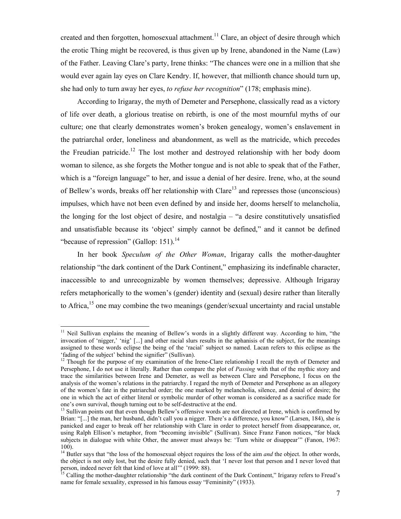created and then forgotten, homosexual attachment.<sup>11</sup> Clare, an object of desire through which the erotic Thing might be recovered, is thus given up by Irene, abandoned in the Name (Law) of the Father. Leaving Clare's party, Irene thinks: "The chances were one in a million that she would ever again lay eyes on Clare Kendry. If, however, that millionth chance should turn up, she had only to turn away her eyes, *to refuse her recognition*" (178; emphasis mine).

According to Irigaray, the myth of Demeter and Persephone, classically read as a victory of life over death, a glorious treatise on rebirth, is one of the most mournful myths of our culture; one that clearly demonstrates women's broken genealogy, women's enslavement in the patriarchal order, loneliness and abandonment, as well as the matricide, which precedes the Freudian patricide.<sup>12</sup> The lost mother and destroyed relationship with her body doom woman to silence, as she forgets the Mother tongue and is not able to speak that of the Father, which is a "foreign language" to her, and issue a denial of her desire. Irene, who, at the sound of Bellew's words, breaks off her relationship with  $Clare<sup>13</sup>$  and represses those (unconscious) impulses, which have not been even defined by and inside her, dooms herself to melancholia, the longing for the lost object of desire, and nostalgia – "a desire constitutively unsatisfied and unsatisfiable because its 'object' simply cannot be defined," and it cannot be defined "because of repression" (Gallop:  $151$ ).<sup>14</sup>

In her book *Speculum of the Other Woman*, Irigaray calls the mother-daughter relationship "the dark continent of the Dark Continent," emphasizing its indefinable character, inaccessible to and unrecognizable by women themselves; depressive. Although Irigaray refers metaphorically to the women's (gender) identity and (sexual) desire rather than literally to Africa,<sup>15</sup> one may combine the two meanings (gender/sexual uncertainty and racial unstable

 $\overline{a}$ 

<sup>&</sup>lt;sup>11</sup> Neil Sullivan explains the meaning of Bellew's words in a slightly different way. According to him, "the invocation of 'nigger,' 'nig' [...] and other racial slurs results in the aphanisis of the subject, for the meanings assigned to these words eclipse the being of the 'racial' subject so named. Lacan refers to this eclipse as the 'fading of the subject' behind the signifier" (Sullivan).

<sup>&</sup>lt;sup>12</sup> Though for the purpose of my examination of the Irene-Clare relationship I recall the myth of Demeter and Persephone, I do not use it literally. Rather than compare the plot of *Passing* with that of the mythic story and trace the similarities between Irene and Demeter, as well as between Clare and Persephone, I focus on the analysis of the women's relations in the patriarchy. I regard the myth of Demeter and Persephone as an allegory of the women's fate in the patriarchal order; the one marked by melancholia, silence, and denial of desire; the one in which the act of either literal or symbolic murder of other woman is considered as a sacrifice made for one's own survival, though turning out to be self-destructive at the end.

<sup>&</sup>lt;sup>13</sup> Sullivan points out that even though Bellew's offensive words are not directed at Irene, which is confirmed by Brian: "[...] the man, her husband, didn't call you a nigger. There's a difference, you know" (Larsen, 184), she is panicked and eager to break off her relationship with Clare in order to protect herself from disappearance, or, using Ralph Ellison's metaphor, from "becoming invisible" (Sullivan). Since Franz Fanon notices, "for black subjects in dialogue with white Other, the answer must always be: 'Turn white or disappear'" (Fanon, 1967:  $100$ ).

<sup>&</sup>lt;sup>14</sup> Butler says that "the loss of the homosexual object requires the loss of the aim *and* the object. In other words, the object is not only lost, but the desire fully denied, such that 'I never lost that person and I never loved that person, indeed never felt that kind of love at all'" (1999: 88).

<sup>&</sup>lt;sup>15</sup> Calling the mother-daughter relationship "the dark continent of the Dark Continent," Irigaray refers to Freud's name for female sexuality, expressed in his famous essay "Femininity" (1933).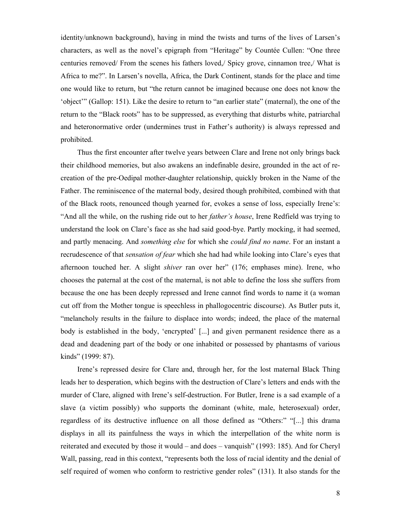identity/unknown background), having in mind the twists and turns of the lives of Larsen's characters, as well as the novel's epigraph from "Heritage" by Countée Cullen: "One three centuries removed/ From the scenes his fathers loved,/ Spicy grove, cinnamon tree,/ What is Africa to me?". In Larsen's novella, Africa, the Dark Continent, stands for the place and time one would like to return, but "the return cannot be imagined because one does not know the 'object'" (Gallop: 151). Like the desire to return to "an earlier state" (maternal), the one of the return to the "Black roots" has to be suppressed, as everything that disturbs white, patriarchal and heteronormative order (undermines trust in Father's authority) is always repressed and prohibited.

Thus the first encounter after twelve years between Clare and Irene not only brings back their childhood memories, but also awakens an indefinable desire, grounded in the act of recreation of the pre-Oedipal mother-daughter relationship, quickly broken in the Name of the Father. The reminiscence of the maternal body, desired though prohibited, combined with that of the Black roots, renounced though yearned for, evokes a sense of loss, especially Irene's: "And all the while, on the rushing ride out to her *father's house*, Irene Redfield was trying to understand the look on Clare's face as she had said good-bye. Partly mocking, it had seemed, and partly menacing. And *something else* for which she *could find no name*. For an instant a recrudescence of that *sensation of fear* which she had had while looking into Clare's eyes that afternoon touched her. A slight *shiver* ran over her" (176; emphases mine). Irene, who chooses the paternal at the cost of the maternal, is not able to define the loss she suffers from because the one has been deeply repressed and Irene cannot find words to name it (a woman cut off from the Mother tongue is speechless in phallogocentric discourse). As Butler puts it, "melancholy results in the failure to displace into words; indeed, the place of the maternal body is established in the body, 'encrypted' [...] and given permanent residence there as a dead and deadening part of the body or one inhabited or possessed by phantasms of various kinds" (1999: 87).

Irene's repressed desire for Clare and, through her, for the lost maternal Black Thing leads her to desperation, which begins with the destruction of Clare's letters and ends with the murder of Clare, aligned with Irene's self-destruction. For Butler, Irene is a sad example of a slave (a victim possibly) who supports the dominant (white, male, heterosexual) order, regardless of its destructive influence on all those defined as "Others:" "[...] this drama displays in all its painfulness the ways in which the interpellation of the white norm is reiterated and executed by those it would – and does – vanquish" (1993: 185). And for Cheryl Wall, passing, read in this context, "represents both the loss of racial identity and the denial of self required of women who conform to restrictive gender roles" (131). It also stands for the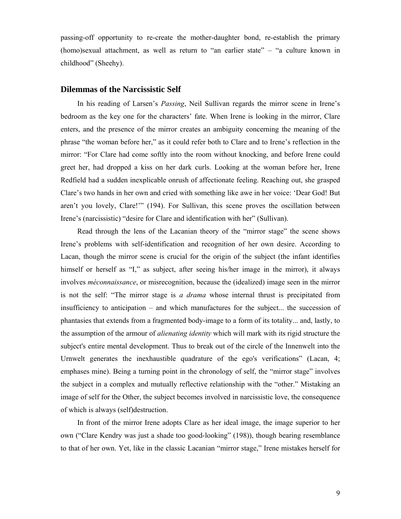passing-off opportunity to re-create the mother-daughter bond, re-establish the primary (homo)sexual attachment, as well as return to "an earlier state" – "a culture known in childhood" (Sheehy).

# **Dilemmas of the Narcissistic Self**

In his reading of Larsen's *Passing*, Neil Sullivan regards the mirror scene in Irene's bedroom as the key one for the characters' fate. When Irene is looking in the mirror, Clare enters, and the presence of the mirror creates an ambiguity concerning the meaning of the phrase "the woman before her," as it could refer both to Clare and to Irene's reflection in the mirror: "For Clare had come softly into the room without knocking, and before Irene could greet her, had dropped a kiss on her dark curls. Looking at the woman before her, Irene Redfield had a sudden inexplicable onrush of affectionate feeling. Reaching out, she grasped Clare's two hands in her own and cried with something like awe in her voice: 'Dear God! But aren't you lovely, Clare!'" (194). For Sullivan, this scene proves the oscillation between Irene's (narcissistic) "desire for Clare and identification with her" (Sullivan).

Read through the lens of the Lacanian theory of the "mirror stage" the scene shows Irene's problems with self-identification and recognition of her own desire. According to Lacan, though the mirror scene is crucial for the origin of the subject (the infant identifies himself or herself as "I," as subject, after seeing his/her image in the mirror), it always involves *méconnaissance*, or misrecognition, because the (idealized) image seen in the mirror is not the self: "The mirror stage is *a drama* whose internal thrust is precipitated from insufficiency to anticipation – and which manufactures for the subject... the succession of phantasies that extends from a fragmented body-image to a form of its totality... and, lastly, to the assumption of the armour of *alienating identity* which will mark with its rigid structure the subject's entire mental development. Thus to break out of the circle of the Innenwelt into the Urnwelt generates the inexhaustible quadrature of the ego's verifications" (Lacan, 4; emphases mine). Being a turning point in the chronology of self, the "mirror stage" involves the subject in a complex and mutually reflective relationship with the "other." Mistaking an image of self for the Other, the subject becomes involved in narcissistic love, the consequence of which is always (self)destruction.

In front of the mirror Irene adopts Clare as her ideal image, the image superior to her own ("Clare Kendry was just a shade too good-looking" (198)), though bearing resemblance to that of her own. Yet, like in the classic Lacanian "mirror stage," Irene mistakes herself for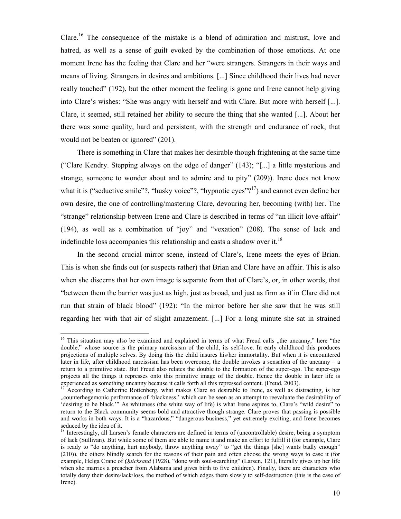Clare.16 The consequence of the mistake is a blend of admiration and mistrust, love and hatred, as well as a sense of guilt evoked by the combination of those emotions. At one moment Irene has the feeling that Clare and her "were strangers. Strangers in their ways and means of living. Strangers in desires and ambitions. [...] Since childhood their lives had never really touched" (192), but the other moment the feeling is gone and Irene cannot help giving into Clare's wishes: "She was angry with herself and with Clare. But more with herself [...]. Clare, it seemed, still retained her ability to secure the thing that she wanted [...]. About her there was some quality, hard and persistent, with the strength and endurance of rock, that would not be beaten or ignored" (201).

There is something in Clare that makes her desirable though frightening at the same time ("Clare Kendry. Stepping always on the edge of danger" (143); "[...] a little mysterious and strange, someone to wonder about and to admire and to pity" (209)). Irene does not know what it is ("seductive smile"?, "husky voice"?, "hypnotic eyes"?<sup>17</sup>) and cannot even define her own desire, the one of controlling/mastering Clare, devouring her, becoming (with) her. The "strange" relationship between Irene and Clare is described in terms of "an illicit love-affair" (194), as well as a combination of "joy" and "vexation" (208). The sense of lack and indefinable loss accompanies this relationship and casts a shadow over it.<sup>18</sup>

In the second crucial mirror scene, instead of Clare's, Irene meets the eyes of Brian. This is when she finds out (or suspects rather) that Brian and Clare have an affair. This is also when she discerns that her own image is separate from that of Clare's, or, in other words, that "between them the barrier was just as high, just as broad, and just as firm as if in Clare did not run that strain of black blood" (192): "In the mirror before her she saw that he was still regarding her with that air of slight amazement. [...] For a long minute she sat in strained

 $\overline{a}$ 

<sup>&</sup>lt;sup>16</sup> This situation may also be examined and explained in terms of what Freud calls "the uncanny," here "the double," whose source is the primary narcissism of the child, its self-love. In early childhood this produces projections of multiple selves. By doing this the child insures his/her immortality. But when it is encountered later in life, after childhood narcissism has been overcome, the double invokes a sensation of the uncanny – a return to a primitive state. But Freud also relates the double to the formation of the super-ego. The super-ego projects all the things it represses onto this primitive image of the double. Hence the double in later life is experienced as something uncanny because it calls forth all this repressed content. (Freud, 2003).

<sup>17</sup> According to Catherine Rottenberg, what makes Clare so desirable to Irene, as well as distracting, is her "counterhegemonic performance of 'blackness,' which can be seen as an attempt to reevaluate the desirability of 'desiring to be black.'" As whiteness (the white way of life) is what Irene aspires to, Clare's "wild desire" to return to the Black community seems bold and attractive though strange. Clare proves that passing is possible and works in both ways. It is a "hazardous," "dangerous business," yet extremely exciting, and Irene becomes seduced by the idea of it.

<sup>&</sup>lt;sup>18</sup> Interestingly, all Larsen's female characters are defined in terms of (uncontrollable) desire, being a symptom of lack (Sullivan). But while some of them are able to name it and make an effort to fulfill it (for example, Clare is ready to "do anything, hurt anybody, throw anything away" to "get the things [she] wants badly enough" (210)), the others blindly search for the reasons of their pain and often choose the wrong ways to ease it (for example, Helga Crane of *Quicksand* (1928), "done with soul-searching" (Larsen, 121), literally gives up her life when she marries a preacher from Alabama and gives birth to five children). Finally, there are characters who totally deny their desire/lack/loss, the method of which edges them slowly to self-destruction (this is the case of Irene).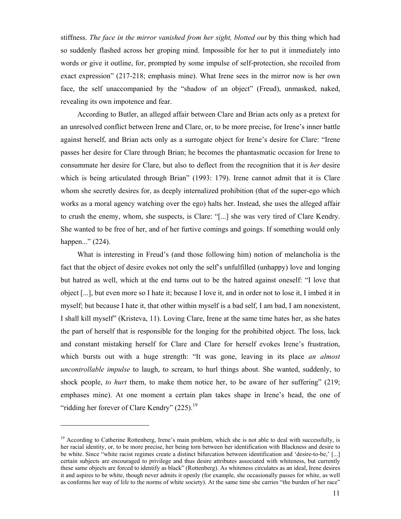stiffness. *The face in the mirror vanished from her sight, blotted out* by this thing which had so suddenly flashed across her groping mind. Impossible for her to put it immediately into words or give it outline, for, prompted by some impulse of self-protection, she recoiled from exact expression" (217-218; emphasis mine). What Irene sees in the mirror now is her own face, the self unaccompanied by the "shadow of an object" (Freud), unmasked, naked, revealing its own impotence and fear.

According to Butler, an alleged affair between Clare and Brian acts only as a pretext for an unresolved conflict between Irene and Clare, or, to be more precise, for Irene's inner battle against herself, and Brian acts only as a surrogate object for Irene's desire for Clare: "Irene passes her desire for Clare through Brian; he becomes the phantasmatic occasion for Irene to consummate her desire for Clare, but also to deflect from the recognition that it is *her* desire which is being articulated through Brian" (1993: 179). Irene cannot admit that it is Clare whom she secretly desires for, as deeply internalized prohibition (that of the super-ego which works as a moral agency watching over the ego) halts her. Instead, she uses the alleged affair to crush the enemy, whom, she suspects, is Clare: "[...] she was very tired of Clare Kendry. She wanted to be free of her, and of her furtive comings and goings. If something would only happen..." (224).

What is interesting in Freud's (and those following him) notion of melancholia is the fact that the object of desire evokes not only the self's unfulfilled (unhappy) love and longing but hatred as well, which at the end turns out to be the hatred against oneself: "I love that object [...], but even more so I hate it; because I love it, and in order not to lose it, I imbed it in myself; but because I hate it, that other within myself is a bad self, I am bad, I am nonexistent, I shall kill myself" (Kristeva, 11). Loving Clare, Irene at the same time hates her, as she hates the part of herself that is responsible for the longing for the prohibited object. The loss, lack and constant mistaking herself for Clare and Clare for herself evokes Irene's frustration, which bursts out with a huge strength: "It was gone, leaving in its place *an almost uncontrollable impulse* to laugh, to scream, to hurl things about. She wanted, suddenly, to shock people, *to hurt* them, to make them notice her, to be aware of her suffering" (219; emphases mine). At one moment a certain plan takes shape in Irene's head, the one of "ridding her forever of Clare Kendry"  $(225)$ .<sup>19</sup>

 $\overline{a}$ 

 $19$  According to Catherine Rottenberg, Irene's main problem, which she is not able to deal with successfully, is her racial identity, or, to be more precise, her being torn between her identification with Blackness and desire to be white. Since "white racist regimes create a distinct bifurcation between identification and 'desire-to-be,' [...] certain subjects are encouraged to privilege and thus desire attributes associated with whiteness, but currently these same objects are forced to identify as black" (Rottenberg). As whiteness circulates as an ideal, Irene desires it and aspires to be white, though never admits it openly (for example, she occasionally passes for white, as well as conforms her way of life to the norms of white society). At the same time she carries "the burden of her race"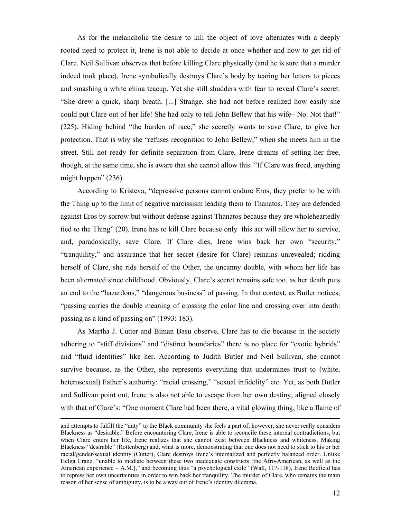As for the melancholic the desire to kill the object of love alternates with a deeply rooted need to protect it, Irene is not able to decide at once whether and how to get rid of Clare. Neil Sullivan observes that before killing Clare physically (and he is sure that a murder indeed took place), Irene symbolically destroys Clare's body by tearing her letters to pieces and smashing a white china teacup. Yet she still shudders with fear to reveal Clare's secret: "She drew a quick, sharp breath. [...] Strange, she had not before realized how easily she could put Clare out of her life! She had only to tell John Bellew that his wife– No. Not that!" (225). Hiding behind "the burden of race," she secretly wants to save Clare, to give her protection. That is why she "refuses recognition to John Bellew," when she meets him in the street. Still not ready for definite separation from Clare, Irene dreams of setting her free, though, at the same time, she is aware that she cannot allow this: "If Clare was freed, anything might happen" (236).

According to Kristeva, "depressive persons cannot endure Eros, they prefer to be with the Thing up to the limit of negative narcissism leading them to Thanatos. They are defended against Eros by sorrow but without defense against Thanatos because they are wholeheartedly tied to the Thing" (20). Irene has to kill Clare because only this act will allow her to survive, and, paradoxically, save Clare. If Clare dies, Irene wins back her own "security," "tranquility," and assurance that her secret (desire for Clare) remains unrevealed; ridding herself of Clare, she rids herself of the Other, the uncanny double, with whom her life has been alternated since childhood. Obviously, Clare's secret remains safe too, as her death puts an end to the "hazardous," "dangerous business" of passing. In that context, as Butler notices, "passing carries the double meaning of crossing the color line and crossing over into death: passing as a kind of passing on" (1993: 183).

As Martha J. Cutter and Biman Basu observe, Clare has to die because in the society adhering to "stiff divisions" and "distinct boundaries" there is no place for "exotic hybrids" and "fluid identities" like her. According to Judith Butler and Neil Sullivan, she cannot survive because, as the Other, she represents everything that undermines trust to (white, heterosexual) Father's authority: "racial crossing," "sexual infidelity" etc. Yet, as both Butler and Sullivan point out, Irene is also not able to escape from her own destiny, aligned closely with that of Clare's: "One moment Clare had been there, a vital glowing thing, like a flame of

and attempts to fulfill the "duty" to the Black community she feels a part of; however, she never really considers Blackness as "desirable." Before encountering Clare, Irene is able to reconcile these internal contradictions, but when Clare enters her life, Irene realizes that she cannot exist between Blackness and whiteness. Making Blackness "desirable" (Rottenberg) and, what is more, demonstrating that one does not need to stick to his or her racial/gender/sexual identity (Cutter), Clare destroys Irene's internalized and perfectly balanced order. Unlike Helga Crane, "unable to mediate between these two inadequate constructs [the Afro-American, as well as the American experience – A.M.]," and becoming thus "a psychological exile" (Wall, 117-118), Irene Redfield has to repress her own uncertainties in order to win back her tranquility. The murder of Clare, who remains the main reason of her sense of ambiguity, is to be a way out of Irene's identity dilemma.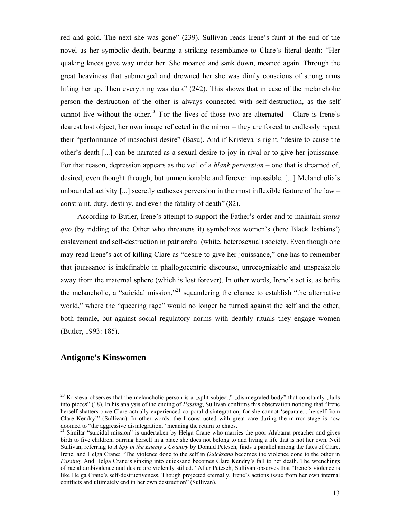red and gold. The next she was gone" (239). Sullivan reads Irene's faint at the end of the novel as her symbolic death, bearing a striking resemblance to Clare's literal death: "Her quaking knees gave way under her. She moaned and sank down, moaned again. Through the great heaviness that submerged and drowned her she was dimly conscious of strong arms lifting her up. Then everything was dark" (242). This shows that in case of the melancholic person the destruction of the other is always connected with self-destruction, as the self cannot live without the other.<sup>20</sup> For the lives of those two are alternated – Clare is Irene's dearest lost object, her own image reflected in the mirror – they are forced to endlessly repeat their "performance of masochist desire" (Basu). And if Kristeva is right, "desire to cause the other's death [...] can be narrated as a sexual desire to joy in rival or to give her jouissance. For that reason, depression appears as the veil of a *blank perversion* – one that is dreamed of, desired, even thought through, but unmentionable and forever impossible. [...] Melancholia's unbounded activity [...] secretly cathexes perversion in the most inflexible feature of the law – constraint, duty, destiny, and even the fatality of death" (82).

According to Butler, Irene's attempt to support the Father's order and to maintain *status quo* (by ridding of the Other who threatens it) symbolizes women's (here Black lesbians') enslavement and self-destruction in patriarchal (white, heterosexual) society. Even though one may read Irene's act of killing Clare as "desire to give her jouissance," one has to remember that jouissance is indefinable in phallogocentric discourse, unrecognizable and unspeakable away from the maternal sphere (which is lost forever). In other words, Irene's act is, as befits the melancholic, a "suicidal mission,"<sup>21</sup> squandering the chance to establish "the alternative" world," where the "queering rage" would no longer be turned against the self and the other, both female, but against social regulatory norms with deathly rituals they engage women (Butler, 1993: 185).

#### **Antigone's Kinswomen**

<sup>&</sup>lt;sup>20</sup> Kristeva observes that the melancholic person is a "split subject," "disintegrated body" that constantly "falls into pieces" (18). In his analysis of the ending of *Passing*, Sullivan confirms this observation noticing that "Irene herself shatters once Clare actually experienced corporal disintegration, for she cannot 'separate... herself from Clare Kendry'" (Sullivan). In other words, the I constructed with great care during the mirror stage is now doomed to "the aggressive disintegration," meaning the return to chaos.

<sup>&</sup>lt;sup>21</sup> Similar "suicidal mission" is undertaken by Helga Crane who marries the poor Alabama preacher and gives birth to five children, burring herself in a place she does not belong to and living a life that is not her own. Neil Sullivan, referring to *A Spy in the Enemy's Country* by Donald Petesch, finds a parallel among the fates of Clare, Irene, and Helga Crane: "The violence done to the self in *Quicksand* becomes the violence done to the other in *Passing*. And Helga Crane's sinking into quicksand becomes Clare Kendry's fall to her death. The wrenchings of racial ambivalence and desire are violently stilled." After Petesch, Sullivan observes that "Irene's violence is like Helga Crane's self-destructiveness. Though projected eternally, Irene's actions issue from her own internal conflicts and ultimately end in her own destruction" (Sullivan).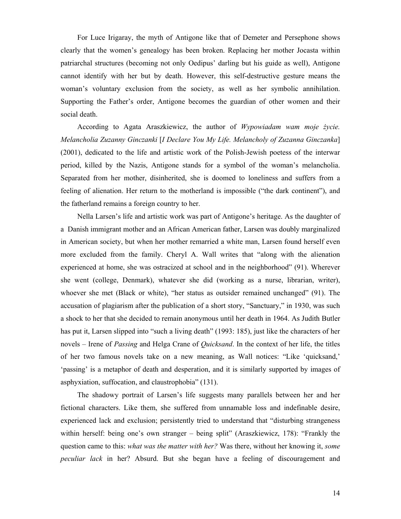For Luce Irigaray, the myth of Antigone like that of Demeter and Persephone shows clearly that the women's genealogy has been broken. Replacing her mother Jocasta within patriarchal structures (becoming not only Oedipus' darling but his guide as well), Antigone cannot identify with her but by death. However, this self-destructive gesture means the woman's voluntary exclusion from the society, as well as her symbolic annihilation. Supporting the Father's order, Antigone becomes the guardian of other women and their social death.

According to Agata Araszkiewicz, the author of *Wypowiadam wam moje życie. Melancholia Zuzanny Ginczanki* [*I Declare You My Life. Melancholy of Zuzanna Ginczanka*] (2001), dedicated to the life and artistic work of the Polish-Jewish poetess of the interwar period, killed by the Nazis, Antigone stands for a symbol of the woman's melancholia. Separated from her mother, disinherited, she is doomed to loneliness and suffers from a feeling of alienation. Her return to the motherland is impossible ("the dark continent"), and the fatherland remains a foreign country to her.

Nella Larsen's life and artistic work was part of Antigone's heritage. As the daughter of a Danish immigrant mother and an African American father, Larsen was doubly marginalized in American society, but when her mother remarried a white man, Larsen found herself even more excluded from the family. Cheryl A. Wall writes that "along with the alienation experienced at home, she was ostracized at school and in the neighborhood" (91). Wherever she went (college, Denmark), whatever she did (working as a nurse, librarian, writer), whoever she met (Black or white), "her status as outsider remained unchanged" (91). The accusation of plagiarism after the publication of a short story, "Sanctuary," in 1930, was such a shock to her that she decided to remain anonymous until her death in 1964. As Judith Butler has put it, Larsen slipped into "such a living death" (1993: 185), just like the characters of her novels – Irene of *Passing* and Helga Crane of *Quicksand*. In the context of her life, the titles of her two famous novels take on a new meaning, as Wall notices: "Like 'quicksand,' 'passing' is a metaphor of death and desperation, and it is similarly supported by images of asphyxiation, suffocation, and claustrophobia" (131).

The shadowy portrait of Larsen's life suggests many parallels between her and her fictional characters. Like them, she suffered from unnamable loss and indefinable desire, experienced lack and exclusion; persistently tried to understand that "disturbing strangeness within herself: being one's own stranger – being split" (Araszkiewicz, 178): "Frankly the question came to this: *what was the matter with her?* Was there, without her knowing it, *some peculiar lack* in her? Absurd. But she began have a feeling of discouragement and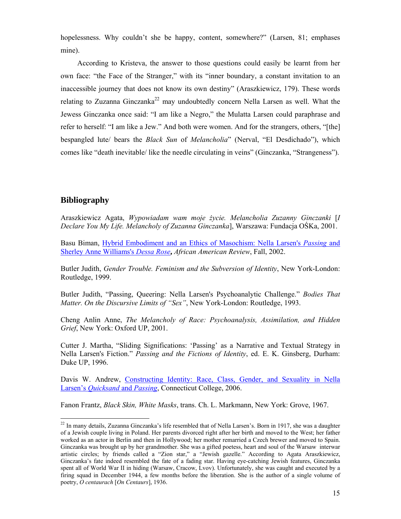hopelessness. Why couldn't she be happy, content, somewhere?" (Larsen, 81; emphases mine).

According to Kristeva, the answer to those questions could easily be learnt from her own face: "the Face of the Stranger," with its "inner boundary, a constant invitation to an inaccessible journey that does not know its own destiny" (Araszkiewicz, 179). These words relating to Zuzanna Ginczanka<sup>22</sup> may undoubtedly concern Nella Larsen as well. What the Jewess Ginczanka once said: "I am like a Negro," the Mulatta Larsen could paraphrase and refer to herself: "I am like a Jew." And both were women. And for the strangers, others, "[the] bespangled lute/ bears the *Black Sun* of *Melancholia*" (Nerval, "El Desdichado"), which comes like "death inevitable/ like the needle circulating in veins" (Ginczanka, "Strangeness").

# **Bibliography**

 $\overline{a}$ 

Araszkiewicz Agata, *Wypowiadam wam moje życie. Melancholia Zuzanny Ginczanki* [*I Declare You My Life. Melancholy of Zuzanna Ginczanka*], Warszawa: Fundacja OŚKa, 2001.

Basu Biman, Hybrid Embodiment and an Ethics of Masochism: Nella Larsen's *Passing* and Sherley Anne Williams's *Dessa Rose***,** *African American Review*, Fall, 2002.

Butler Judith, *Gender Trouble. Feminism and the Subversion of Identity*, New York-London: Routledge, 1999.

Butler Judith, "Passing, Queering: Nella Larsen's Psychoanalytic Challenge." *Bodies That Matter. On the Discursive Limits of "Sex"*, New York-London: Routledge, 1993.

Cheng Anlin Anne, *The Melancholy of Race: Psychoanalysis, Assimilation, and Hidden Grief*, New York: Oxford UP, 2001.

Cutter J. Martha, "Sliding Significations: 'Passing' as a Narrative and Textual Strategy in Nella Larsen's Fiction." *Passing and the Fictions of Identity*, ed. E. K. Ginsberg, Durham: Duke UP, 1996.

Davis W. Andrew, Constructing Identity: Race, Class, Gender, and Sexuality in Nella Larsen's *Quicksand* and *Passing*, Connecticut College, 2006.

Fanon Frantz, *Black Skin, White Masks*, trans. Ch. L. Markmann, New York: Grove, 1967.

 $^{22}$  In many details, Zuzanna Ginczanka's life resembled that of Nella Larsen's. Born in 1917, she was a daughter of a Jewish couple living in Poland. Her parents divorced right after her birth and moved to the West; her father worked as an actor in Berlin and then in Hollywood; her mother remarried a Czech brewer and moved to Spain. Ginczanka was brought up by her grandmother. She was a gifted poetess, heart and soul of the Warsaw interwar artistic circles; by friends called a "Zion star," a "Jewish gazelle." According to Agata Araszkiewicz, Ginczanka's fate indeed resembled the fate of a fading star. Having eye-catching Jewish features, Ginczanka spent all of World War II in hiding (Warsaw, Cracow, Lvov). Unfortunately, she was caught and executed by a firing squad in December 1944, a few months before the liberation. She is the author of a single volume of poetry, *O centaurach* [*On Centaurs*], 1936.